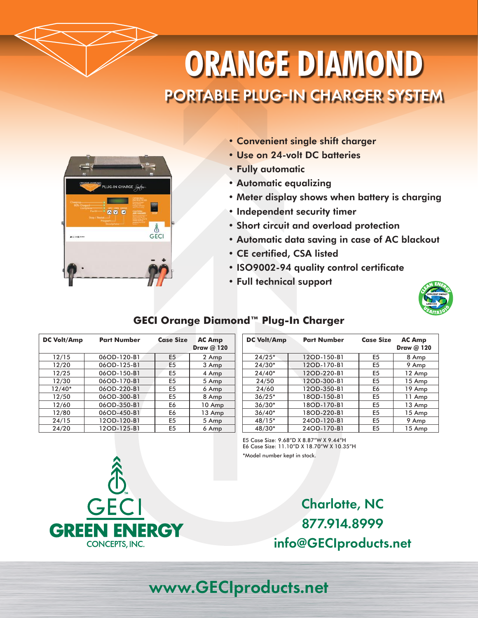# **ORANGE DIAMOND** PORTABLE PLUG-IN CHARGER SYSTEM



- Convenient single shift charger
- Use on 24-volt DC batteries
- Fully automatic
- Automatic equalizing
- Meter display shows when battery is charging
- Independent security timer
- Short circuit and overload protection
- Automatic data saving in case of AC blackout
- CE certified, CSA listed
- ISO9002-94 quality control certificate
- Full technical support



### **GECI Orange Diamond™ Plug-In Charger**

| <b>DC Volt/Amp</b> | <b>Part Number</b> | <b>Case Size</b> | <b>AC Amp</b><br>Draw @ 120 |
|--------------------|--------------------|------------------|-----------------------------|
| 12/15              | 06OD-120-B1        | E <sub>5</sub>   | 2 Amp                       |
| 12/20              | 06OD-125-B1        | E <sub>5</sub>   | 3 Amp                       |
| 12/25              | 06OD-150-B1        | E <sub>5</sub>   | 4 Amp                       |
| 12/30              | 06OD-170-B1        | E <sub>5</sub>   | 5 Amp                       |
| $12/40*$           | 06OD-220-B1        | E <sub>5</sub>   | 6 Amp                       |
| 12/50              | 06OD-300-B1        | E <sub>5</sub>   | 8 Amp                       |
| 12/60              | 06OD-350-B1        | E6               | 10 Amp                      |
| 12/80              | 06OD-450-B1        | E6               | 13 Amp                      |
| 24/15              | 12OD-120-B1        | E <sub>5</sub>   | 5 Amp                       |
| 24/20              | 12OD-125-B1        | E <sub>5</sub>   | 6 Amp                       |

| <b>DC Volt/Amp</b> | <b>Part Number</b> | <b>Case Size</b>        | <b>AC Amp</b> |
|--------------------|--------------------|-------------------------|---------------|
|                    |                    |                         | Draw @ 120    |
| $24/25*$           | 12OD-150-B1        | E <sub>5</sub>          | 8 Amp         |
| $24/30*$           | 12OD-170-B1        | E <sub>5</sub>          | 9 Amp         |
| $24/40*$           | 12OD-220-B1        | E <sub>5</sub>          | 12 Amp        |
| 24/50              | 12OD-300-B1        | E <sub>5</sub>          | 15 Amp        |
| 24/60              | 12OD-350-B1        | E6                      | 19 Amp        |
| $36/25*$           | 18OD-150-B1        | E <sub>5</sub>          | 11 Amp        |
| $36/30*$           | 18OD-170-B1        | E <sub>5</sub>          | 13 Amp        |
| $36/40*$           | 18OD-220-B1        | E <sub>5</sub>          | 15 Amp        |
| 48/15*             | 24OD-120-B1        | E <sub>5</sub><br>9 Amp |               |
| 48/30*             | 24OD-170-B1        | E <sub>5</sub>          | 15 Amp        |

E5 Case Size: 9.68"D X 8.87"W X 9.44"H E6 Case Size: 11.10"D X 18.70"W X 10.35"H \*Model number kept in stock.



Charlotte, NC 877.914.8999 info@GECIproducts.net

## www.GECIproducts.net